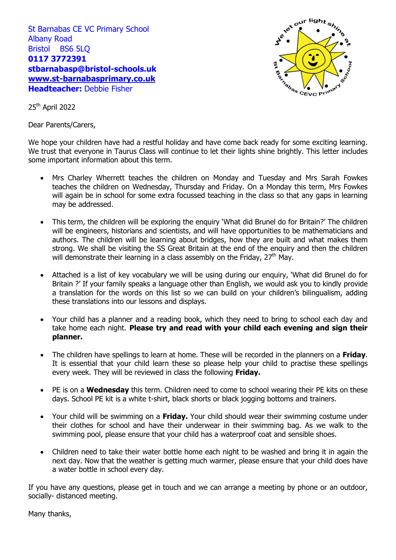St Barnabas CE VC Primary School Albany Road Bristol BS6 5LQ **0117 3772391 stbarnabasp@bristol-schools.uk [www.st-barnabasprimary.co.uk](http://www.st-barnabasprimary.co.uk/) Headteacher:** Debbie Fisher



25th April 2022

Dear Parents/Carers,

We hope your children have had a restful holiday and have come back ready for some exciting learning. We trust that everyone in Taurus Class will continue to let their lights shine brightly. This letter includes some important information about this term.

- Mrs Charley Wherrett teaches the children on Monday and Tuesday and Mrs Sarah Fowkes teaches the children on Wednesday, Thursday and Friday. On a Monday this term, Mrs Fowkes will again be in school for some extra focussed teaching in the class so that any gaps in learning may be addressed.
- This term, the children will be exploring the enquiry 'What did Brunel do for Britain?' The children will be engineers, historians and scientists, and will have opportunities to be mathematicians and authors. The children will be learning about bridges, how they are built and what makes them strong. We shall be visiting the SS Great Britain at the end of the enquiry and then the children will demonstrate their learning in a class assembly on the Friday,  $27<sup>th</sup>$  May.
- Attached is a list of key vocabulary we will be using during our enquiry, 'What did Brunel do for Britain ?' If your family speaks a language other than English, we would ask you to kindly provide a translation for the words on this list so we can build on your children's bilingualism, adding these translations into our lessons and displays.
- Your child has a planner and a reading book, which they need to bring to school each day and take home each night. **Please try and read with your child each evening and sign their planner.**
- The children have spellings to learn at home. These will be recorded in the planners on a **Friday**. It is essential that your child learn these so please help your child to practise these spellings every week. They will be reviewed in class the following **Friday.**
- PE is on a **Wednesday** this term. Children need to come to school wearing their PE kits on these days. School PE kit is a white t-shirt, black shorts or black jogging bottoms and trainers.
- Your child will be swimming on a **Friday.** Your child should wear their swimming costume under their clothes for school and have their underwear in their swimming bag. As we walk to the swimming pool, please ensure that your child has a waterproof coat and sensible shoes.
- Children need to take their water bottle home each night to be washed and bring it in again the next day. Now that the weather is getting much warmer, please ensure that your child does have a water bottle in school every day.

If you have any questions, please get in touch and we can arrange a meeting by phone or an outdoor, socially- distanced meeting.

Many thanks,